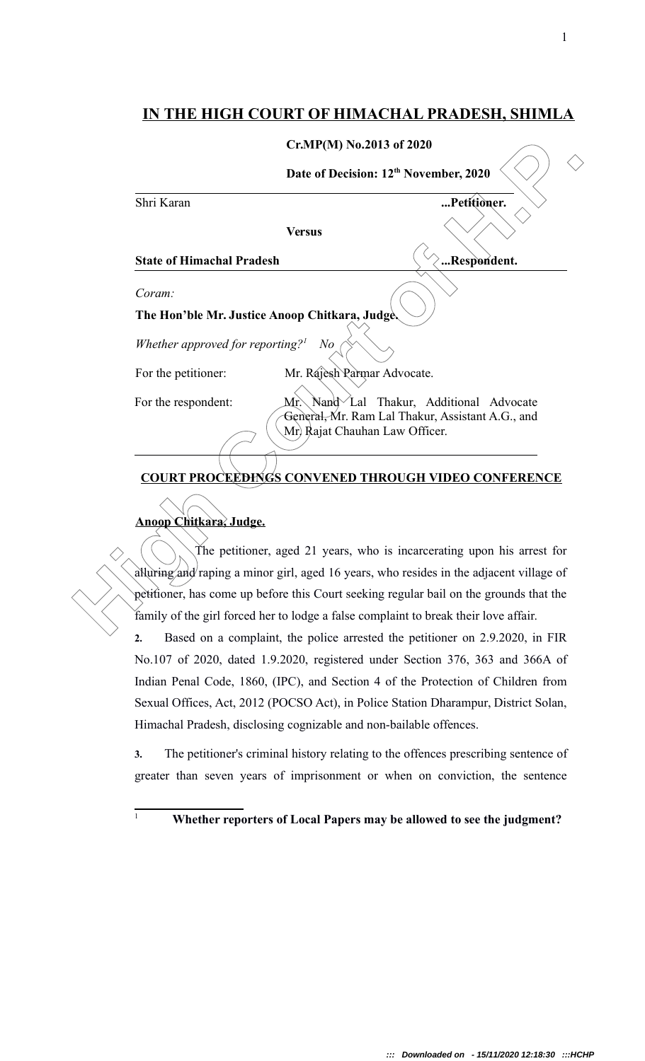### **IN THE HIGH COURT OF HIMACHAL PRADESH, SHIMLA**

|                                                                         | Cr.MP(M) No.2013 of 2020<br>Date of Decision: 12 <sup>th</sup> November, 2020           |                                                                                                                            |  |
|-------------------------------------------------------------------------|-----------------------------------------------------------------------------------------|----------------------------------------------------------------------------------------------------------------------------|--|
|                                                                         |                                                                                         |                                                                                                                            |  |
|                                                                         | Shri Karan                                                                              | Petitioner.                                                                                                                |  |
|                                                                         | <b>Versus</b>                                                                           |                                                                                                                            |  |
|                                                                         | <b>State of Himachal Pradesh</b>                                                        | Respondent.                                                                                                                |  |
|                                                                         | Coram:                                                                                  |                                                                                                                            |  |
|                                                                         | The Hon'ble Mr. Justice Anoop Chitkara, Judge.                                          |                                                                                                                            |  |
|                                                                         | Whether approved for reporting? <sup>1</sup><br>N o                                     |                                                                                                                            |  |
|                                                                         | Mr. Rajesh Parmar Advocate.<br>For the petitioner:                                      |                                                                                                                            |  |
|                                                                         | For the respondent:<br>Mr.                                                              | Nand Lal Thakur, Additional Advocate<br>General, Mr. Ram Lal Thakur, Assistant A.G., and<br>Mr. Rajat Chauhan Law Officer. |  |
| <b>COURT PROCEEDINGS CONVENED THROUGH VIDEO CONFERENCE</b>              |                                                                                         |                                                                                                                            |  |
| Anoop Chitkara, Judge.                                                  |                                                                                         |                                                                                                                            |  |
| The petitioner, aged 21 years, who is incarcerating upon his arrest for |                                                                                         |                                                                                                                            |  |
|                                                                         | alluring and/raping a minor girl, aged 16 years, who resides in the adjacent village of |                                                                                                                            |  |
|                                                                         | petitioner, has come up before this Court seeking regular bail on the grounds that the  |                                                                                                                            |  |
|                                                                         | family of the girl forced her to lodge a false complaint to break their love affair.    |                                                                                                                            |  |
|                                                                         | Based on a complaint, the police arrested the petitioner on 2.9.2020, in FIR<br>2.      |                                                                                                                            |  |
|                                                                         | No.107 of 2020, dated 1.9.2020, registered under Section 376, 363 and 366A of           |                                                                                                                            |  |
|                                                                         | Indian Penal Code, 1860, (IPC), and Section 4 of the Protection of Children from        |                                                                                                                            |  |

# **COURT PROCEEDINGS CONVENED THROUGH VIDEO CONFERENCE**

### **Anoop Chitkara, Judge.**

**2.** Based on a complaint, the police arrested the petitioner on 2.9.2020, in FIR No.107 of 2020, dated 1.9.2020, registered under Section 376, 363 and 366A of Indian Penal Code, 1860, (IPC), and Section 4 of the Protection of Children from Sexual Offices, Act, 2012 (POCSO Act), in Police Station Dharampur, District Solan, Himachal Pradesh, disclosing cognizable and non-bailable offences.

**3.** The petitioner's criminal history relating to the offences prescribing sentence of greater than seven years of imprisonment or when on conviction, the sentence

## <sup>1</sup> **Whether reporters of Local Papers may be allowed to see the judgment?**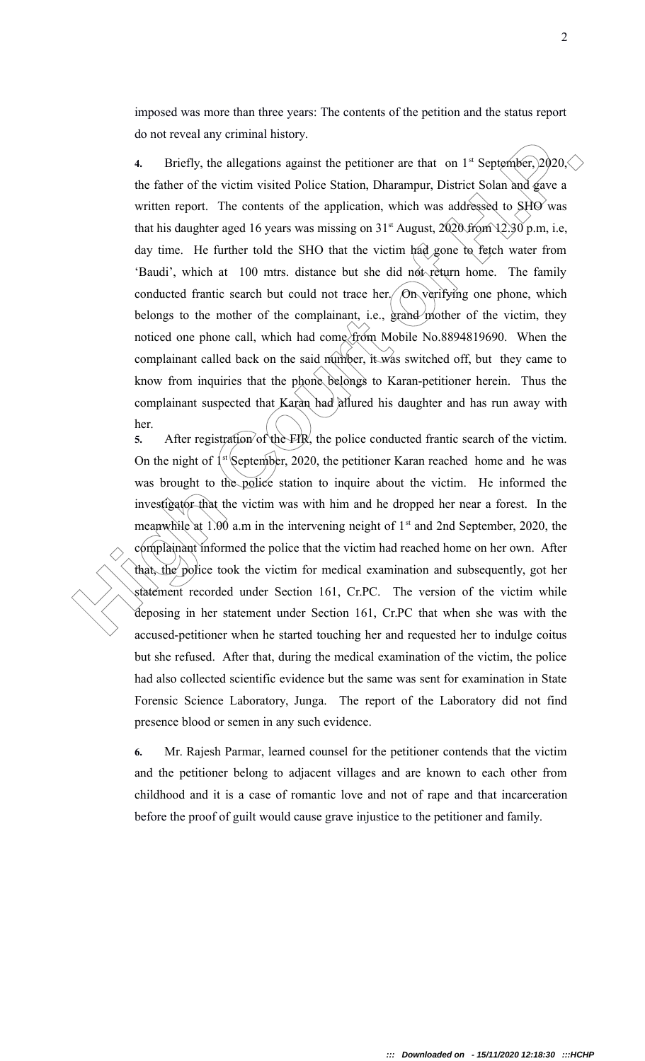imposed was more than three years: The contents of the petition and the status report do not reveal any criminal history.

**4.** Briefly, the allegations squirest the pertitioner are that on 1" September; 2020. The father of the victim visited Police Station, Dharampur, District Solan had gave a written report. The contents of the application, **4.** Briefly, the allegations against the petitioner are that on  $1<sup>st</sup>$  September,  $2020<\!\!\!<$ the father of the victim visited Police Station, Dharampur, District Solan and gave a written report. The contents of the application, which was addressed to  $SHO$  was that his daughter aged 16 years was missing on  $31<sup>st</sup>$  August,  $2020$  from  $12.30$  p.m, i.e, day time. He further told the SHO that the victim had gone to fetch water from 'Baudi', which at 100 mtrs. distance but she did not return home. The family conducted frantic search but could not trace her. On verifying one phone, which belongs to the mother of the complainant, i.e., grand mother of the victim, they noticed one phone call, which had come from Mobile No.8894819690. When the complainant called back on the said number, it was switched off, but they came to know from inquiries that the phone belongs to Karan-petitioner herein. Thus the complainant suspected that Karan had allured his daughter and has run away with her.

**5.** After registration of the FIR, the police conducted frantic search of the victim. On the night of  $\left\{ x \right\}$  September, 2020, the petitioner Karan reached home and he was was brought to the police station to inquire about the victim. He informed the investigator that the victim was with him and he dropped her near a forest. In the meanwhile at  $1.00$  a.m in the intervening neight of  $1<sup>st</sup>$  and 2nd September, 2020, the complainant informed the police that the victim had reached home on her own. After that, the police took the victim for medical examination and subsequently, got her statement recorded under Section 161, Cr.PC. The version of the victim while deposing in her statement under Section 161, Cr.PC that when she was with the accused-petitioner when he started touching her and requested her to indulge coitus but she refused. After that, during the medical examination of the victim, the police had also collected scientific evidence but the same was sent for examination in State Forensic Science Laboratory, Junga. The report of the Laboratory did not find presence blood or semen in any such evidence.

**6.** Mr. Rajesh Parmar, learned counsel for the petitioner contends that the victim and the petitioner belong to adjacent villages and are known to each other from childhood and it is a case of romantic love and not of rape and that incarceration before the proof of guilt would cause grave injustice to the petitioner and family.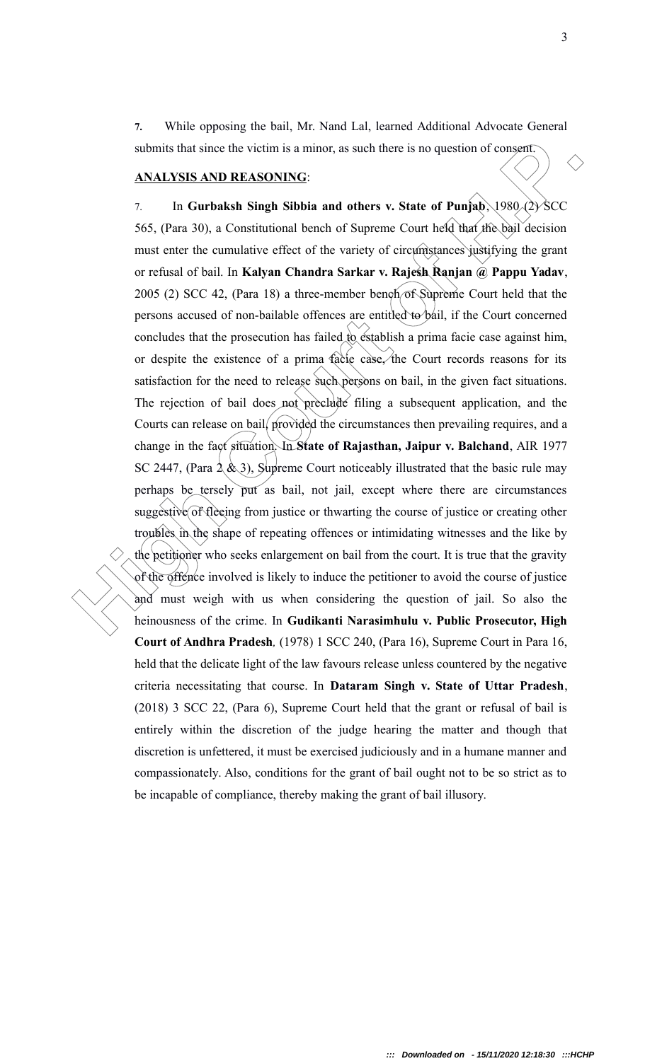**7.** While opposing the bail, Mr. Nand Lal, learned Additional Advocate General submits that since the victim is a minor, as such there is no question of consent.

#### **ANALYSIS AND REASONING**:

submits that since the victim is a minor, as such there is no question of consent)<br> **ANALYSIS AND REASONING:**<br>
7. In **Gurhalsh Singh Sibhia and others v.** State of Panjah, 1980.(2) SCC:<br>
565, (Para 30), a Constitutional b 7. In **Gurbaksh Singh Sibbia and others v. State of Punjab**, 1980 (2) SCC 565, (Para 30), a Constitutional bench of Supreme Court held that the bail decision must enter the cumulative effect of the variety of circumstances justifying the grant or refusal of bail. In **Kalyan Chandra Sarkar v. Rajesh Ranjan @ Pappu Yadav**, 2005 (2) SCC 42, (Para 18) a three-member bench of Supreme Court held that the persons accused of non-bailable offences are entitled to bail, if the Court concerned concludes that the prosecution has failed to establish a prima facie case against him, or despite the existence of a prima facie case, the Court records reasons for its satisfaction for the need to release such persons on bail, in the given fact situations. The rejection of bail does not preclude filing a subsequent application, and the Courts can release on bail, provided the circumstances then prevailing requires, and a change in the fact situation. In **State of Rajasthan, Jaipur v. Balchand**, AIR 1977 SC 2447, (Para  $2(x^3)$ , Supreme Court noticeably illustrated that the basic rule may perhaps be tersely put as bail, not jail, except where there are circumstances suggestive of fleeing from justice or thwarting the course of justice or creating other troubles in the shape of repeating offences or intimidating witnesses and the like by the petitioner who seeks enlargement on bail from the court. It is true that the gravity of the offence involved is likely to induce the petitioner to avoid the course of justice and must weigh with us when considering the question of jail. So also the heinousness of the crime. In **Gudikanti Narasimhulu v. Public Prosecutor, High Court of Andhra Pradesh***,* (1978) 1 SCC 240, (Para 16), Supreme Court in Para 16, held that the delicate light of the law favours release unless countered by the negative criteria necessitating that course. In **Dataram Singh v. State of Uttar Pradesh**, (2018) 3 SCC 22, (Para 6), Supreme Court held that the grant or refusal of bail is entirely within the discretion of the judge hearing the matter and though that discretion is unfettered, it must be exercised judiciously and in a humane manner and compassionately. Also, conditions for the grant of bail ought not to be so strict as to be incapable of compliance, thereby making the grant of bail illusory.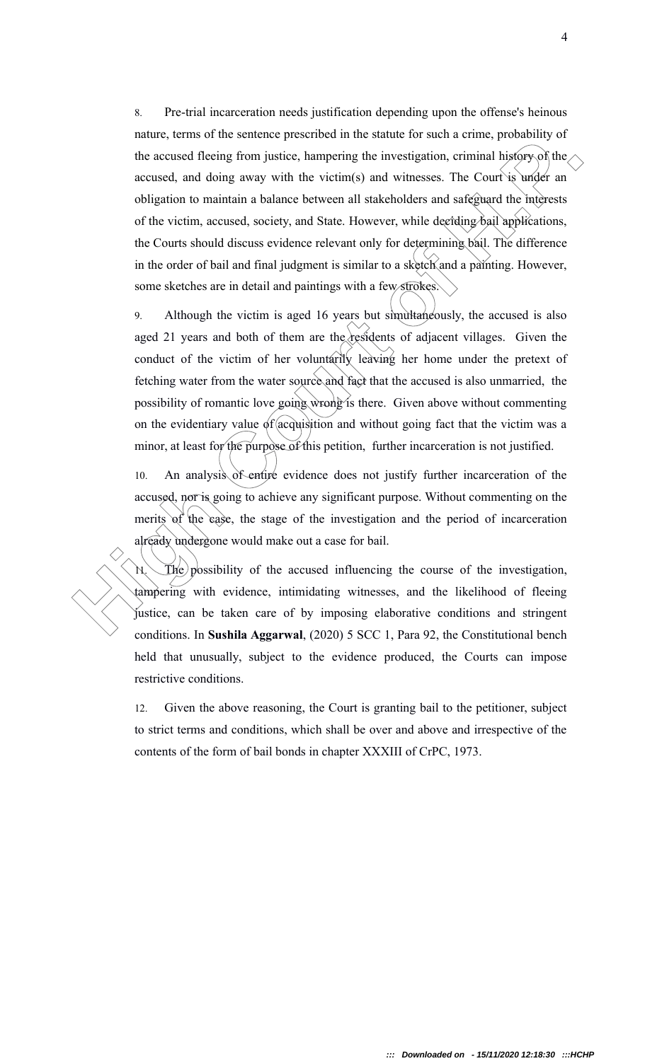The accused thering from investigation criminal histopy of the secured them for the accused the form institute hampening the investigation, criminal histopy of the necessed, and doing away with the victim(s) and witnesses. 8. Pre-trial incarceration needs justification depending upon the offense's heinous nature, terms of the sentence prescribed in the statute for such a crime, probability of the accused fleeing from justice, hampering the investigation, criminal history of the accused, and doing away with the victim(s) and witnesses. The Court is under an obligation to maintain a balance between all stakeholders and safeguard the interests of the victim, accused, society, and State. However, while deciding bail applications, the Courts should discuss evidence relevant only for determining bail. The difference in the order of bail and final judgment is similar to a sketch and a painting. However, some sketches are in detail and paintings with a few strokes.

9. Although the victim is aged 16 years but simultaneously, the accused is also aged 21 years and both of them are the residents of adjacent villages. Given the conduct of the victim of her voluntarily leaving her home under the pretext of fetching water from the water source and fact that the accused is also unmarried, the possibility of romantic love going wrong is there. Given above without commenting on the evidentiary value of acquisition and without going fact that the victim was a minor, at least for the purpose of this petition, further incarceration is not justified.

10. An analysis of entire evidence does not justify further incarceration of the accused, nor is going to achieve any significant purpose. Without commenting on the merits of the case, the stage of the investigation and the period of incarceration already undergone would make out a case for bail.

 $\mathcal{H}$ . The possibility of the accused influencing the course of the investigation, tampering with evidence, intimidating witnesses, and the likelihood of fleeing justice, can be taken care of by imposing elaborative conditions and stringent conditions. In **Sushila Aggarwal**, (2020) 5 SCC 1, Para 92, the Constitutional bench held that unusually, subject to the evidence produced, the Courts can impose restrictive conditions.

12. Given the above reasoning, the Court is granting bail to the petitioner, subject to strict terms and conditions, which shall be over and above and irrespective of the contents of the form of bail bonds in chapter XXXIII of CrPC, 1973.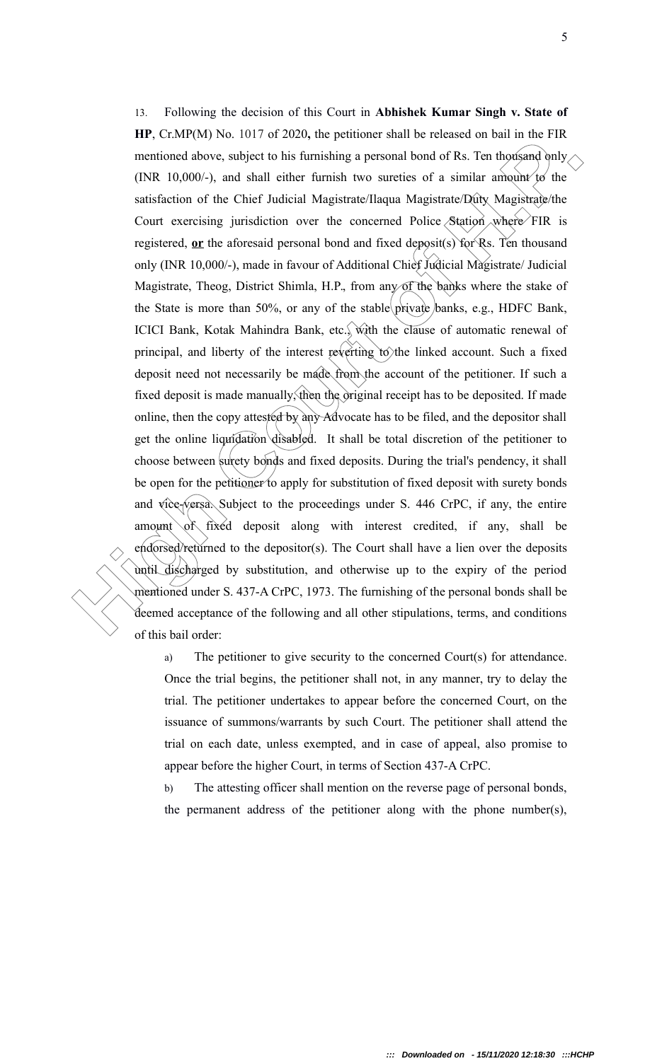**EXERY 10,000/-)**, and shartly the mission and view stream and view of the statistical one of the Chief Associated Magnetated Day (INR 10,000/-), and shall either furnish two survivies of a similar amount to the Satisfacti 13. Following the decision of this Court in **Abhishek Kumar Singh v. State of HP**, Cr.MP(M) No. 1017 of 2020**,** the petitioner shall be released on bail in the FIR mentioned above, subject to his furnishing a personal bond of Rs. Ten thousand only (INR 10,000/-), and shall either furnish two sureties of a similar amount to the satisfaction of the Chief Judicial Magistrate/Ilaqua Magistrate/Duty Magistrate/the Court exercising jurisdiction over the concerned Police Station where FIR is registered, **or** the aforesaid personal bond and fixed deposit(s) for Rs. Ten thousand only (INR 10,000/-), made in favour of Additional Chief Judicial Magistrate/ Judicial Magistrate, Theog, District Shimla, H.P., from any of the banks where the stake of the State is more than 50%, or any of the stable private banks, e.g., HDFC Bank, ICICI Bank, Kotak Mahindra Bank, etc., with the clause of automatic renewal of principal, and liberty of the interest reverting to the linked account. Such a fixed deposit need not necessarily be made from the account of the petitioner. If such a fixed deposit is made manually, then the original receipt has to be deposited. If made online, then the copy attested by any Advocate has to be filed, and the depositor shall get the online liquidation disabled. It shall be total discretion of the petitioner to choose between surety bonds and fixed deposits. During the trial's pendency, it shall be open for the petitioner to apply for substitution of fixed deposit with surety bonds and vice-versa. Subject to the proceedings under S. 446 CrPC, if any, the entire amount of fixed deposit along with interest credited, if any, shall be endorsed/returned to the depositor(s). The Court shall have a lien over the deposits until discharged by substitution, and otherwise up to the expiry of the period mentioned under S. 437-A CrPC, 1973. The furnishing of the personal bonds shall be deemed acceptance of the following and all other stipulations, terms, and conditions of this bail order:

a) The petitioner to give security to the concerned Court(s) for attendance. Once the trial begins, the petitioner shall not, in any manner, try to delay the trial. The petitioner undertakes to appear before the concerned Court, on the issuance of summons/warrants by such Court. The petitioner shall attend the trial on each date, unless exempted, and in case of appeal, also promise to appear before the higher Court, in terms of Section 437-A CrPC.

b) The attesting officer shall mention on the reverse page of personal bonds, the permanent address of the petitioner along with the phone number(s),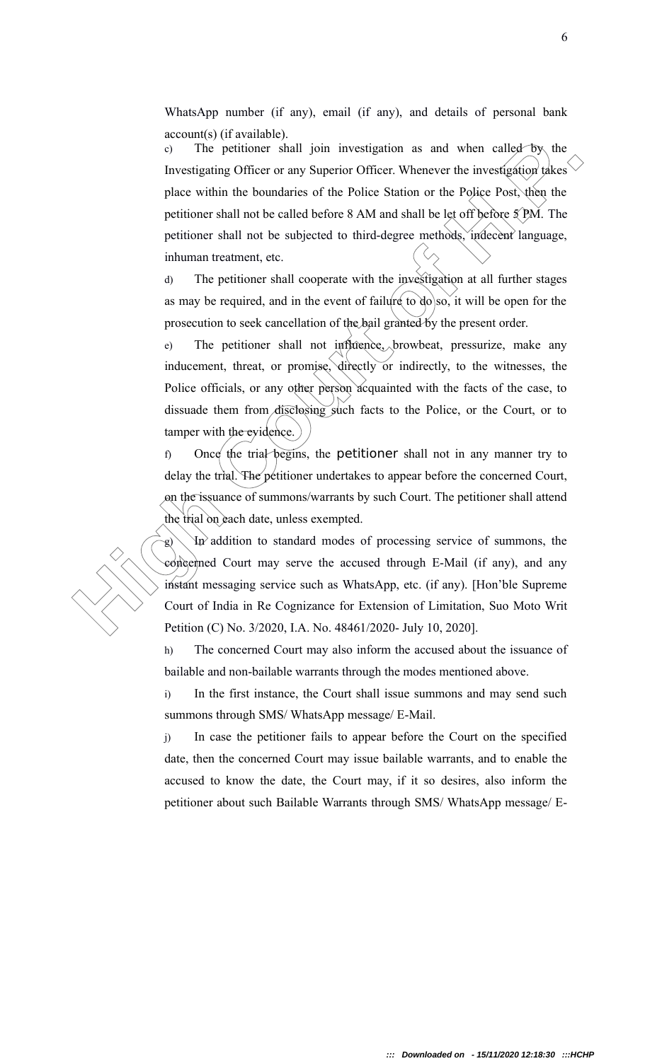WhatsApp number (if any), email (if any), and details of personal bank account(s) (if available).

The patitioner shall join investigation as and when called by, the<br>Investigating Officer or any Superior Officer. Whenever the investigation rakes<br>pluce within the buredness of the Police Sution or the Police Post, then<br>p c) The petitioner shall join investigation as and when called by the Investigating Officer or any Superior Officer. Whenever the investigation takes place within the boundaries of the Police Station or the Police Post, then the petitioner shall not be called before 8 AM and shall be let off before  $\frac{5}{2}$  PM. The petitioner shall not be subjected to third-degree methods, indecent language, inhuman treatment, etc.

d) The petitioner shall cooperate with the investigation at all further stages as may be required, and in the event of failure to  $d\sigma$  so, it will be open for the prosecution to seek cancellation of the bail granted by the present order.

e) The petitioner shall not influence, browbeat, pressurize, make any inducement, threat, or promise, directly or indirectly, to the witnesses, the Police officials, or any other person acquainted with the facts of the case, to dissuade them from disclosing such facts to the Police, or the Court, or to tamper with the evidence.

f) Once the trial begins, the petitioner shall not in any manner try to delay the trial. The petitioner undertakes to appear before the concerned Court, on the issuance of summons/warrants by such Court. The petitioner shall attend the trial on each date, unless exempted.

 $\langle \Psi \rangle$  addition to standard modes of processing service of summons, the concerned Court may serve the accused through E-Mail (if any), and any instant messaging service such as WhatsApp, etc. (if any). [Hon'ble Supreme Court of India in Re Cognizance for Extension of Limitation, Suo Moto Writ Petition (C) No. 3/2020, I.A. No. 48461/2020- July 10, 2020].

h) The concerned Court may also inform the accused about the issuance of bailable and non-bailable warrants through the modes mentioned above.

i) In the first instance, the Court shall issue summons and may send such summons through SMS/ WhatsApp message/ E-Mail.

j) In case the petitioner fails to appear before the Court on the specified date, then the concerned Court may issue bailable warrants, and to enable the accused to know the date, the Court may, if it so desires, also inform the petitioner about such Bailable Warrants through SMS/ WhatsApp message/ E-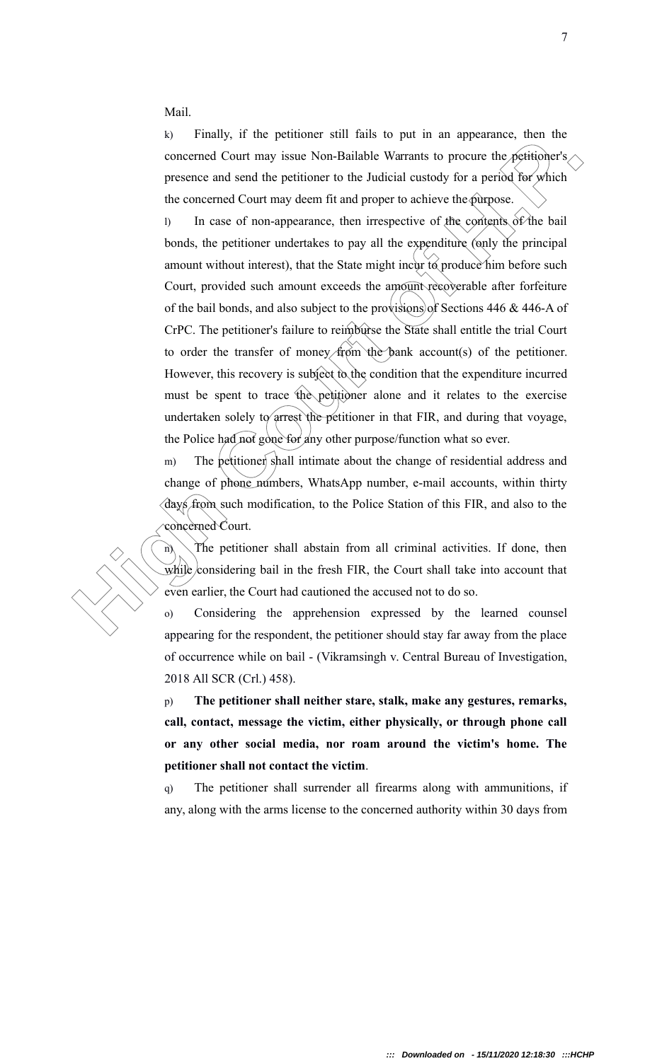Mail.

k) Finally, if the petitioner still fails to put in an appearance, then the concerned Court may issue Non-Bailable Warrants to procure the petitioner's presence and send the petitioner to the Judicial custody for a period for which the concerned Court may deem fit and proper to achieve the purpose.

**Example 19** and the point of the point of the concerned Court may issue Non-Bailable Warrants to procuse the peritioly principal process and send the perition of the Judicial custody for a period Roc, which the concerned l) In case of non-appearance, then irrespective of the contents of the bail bonds, the petitioner undertakes to pay all the expenditure (only the principal amount without interest), that the State might incur to produce him before such Court, provided such amount exceeds the amount recoverable after forfeiture of the bail bonds, and also subject to the provisions of Sections 446  $\&$  446-A of CrPC. The petitioner's failure to reimburse the State shall entitle the trial Court to order the transfer of money from the bank account(s) of the petitioner. However, this recovery is subject to the condition that the expenditure incurred must be spent to trace the petitioner alone and it relates to the exercise undertaken solely to arrest the petitioner in that FIR, and during that voyage, the Police had not gone for any other purpose/function what so ever.

m) The petitioner shall intimate about the change of residential address and change of phone numbers, WhatsApp number, e-mail accounts, within thirty days from such modification, to the Police Station of this FIR, and also to the concerned Court.

 $\hat{n}$  The petitioner shall abstain from all criminal activities. If done, then while considering bail in the fresh FIR, the Court shall take into account that even earlier, the Court had cautioned the accused not to do so.

o) Considering the apprehension expressed by the learned counsel appearing for the respondent, the petitioner should stay far away from the place of occurrence while on bail - (Vikramsingh v. Central Bureau of Investigation, 2018 All SCR (Crl.) 458).

p) **The petitioner shall neither stare, stalk, make any gestures, remarks, call, contact, message the victim, either physically, or through phone call or any other social media, nor roam around the victim's home. The petitioner shall not contact the victim**.

q) The petitioner shall surrender all firearms along with ammunitions, if any, along with the arms license to the concerned authority within 30 days from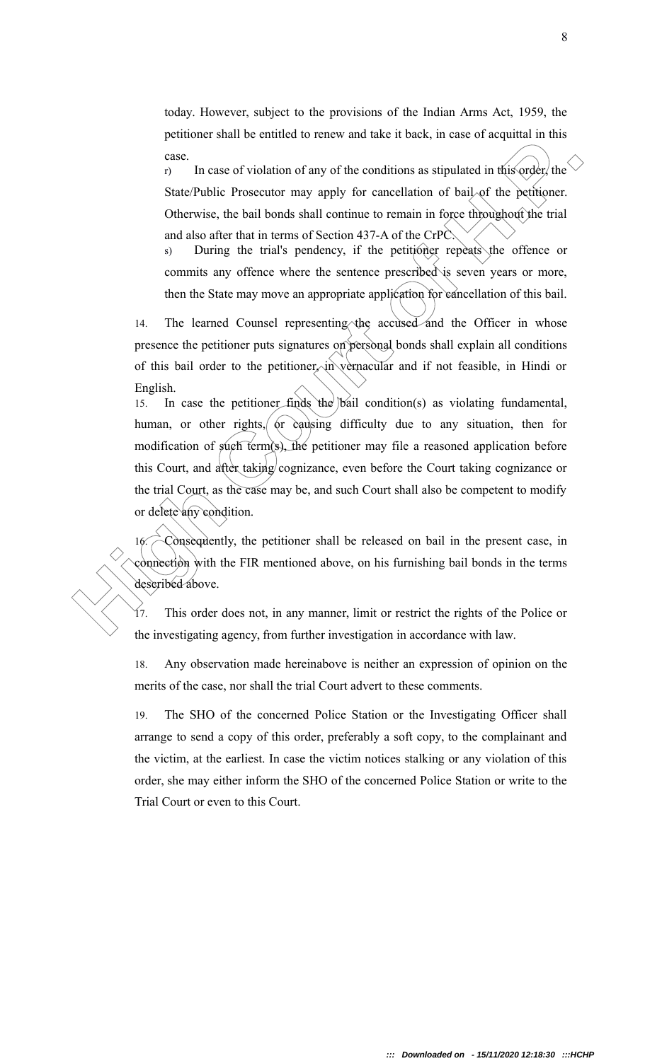today. However, subject to the provisions of the Indian Arms Act, 1959, the petitioner shall be entitled to renew and take it back, in case of acquittal in this case.

r) In case of violation of any of the conditions as stipulated in this order, the State/Public Prosecutor may apply for cancellation of bail of the petitioner. Otherwise, the bail bonds shall continue to remain in force throughout the trial and also after that in terms of Section 437-A of the CrPC.

s) During the trial's pendency, if the petitioner repeats the offence or commits any offence where the sentence prescribed is seven years or more, then the State may move an appropriate application for cancellation of this bail.

14. The learned Counsel representing the accused and the Officer in whose presence the petitioner puts signatures on personal bonds shall explain all conditions of this bail order to the petitioner, in vernacular and if not feasible, in Hindi or English.

**Example 12** and the control of the conditions as tipulated in this condition of the mass of violation of the conditional control of the performer of the conditions and the conditions of the condition of the condition of t 15. In case the petitioner finds the bail condition(s) as violating fundamental, human, or other rights, or causing difficulty due to any situation, then for modification of  $\sinh(\sinh(\theta))$ , the petitioner may file a reasoned application before this Court, and after taking cognizance, even before the Court taking cognizance or the trial Court, as the case may be, and such Court shall also be competent to modify or delete any condition.

16. Consequently, the petitioner shall be released on bail in the present case, in connection with the FIR mentioned above, on his furnishing bail bonds in the terms described above.

17. This order does not, in any manner, limit or restrict the rights of the Police or the investigating agency, from further investigation in accordance with law.

18. Any observation made hereinabove is neither an expression of opinion on the merits of the case, nor shall the trial Court advert to these comments.

19. The SHO of the concerned Police Station or the Investigating Officer shall arrange to send a copy of this order, preferably a soft copy, to the complainant and the victim, at the earliest. In case the victim notices stalking or any violation of this order, she may either inform the SHO of the concerned Police Station or write to the Trial Court or even to this Court.